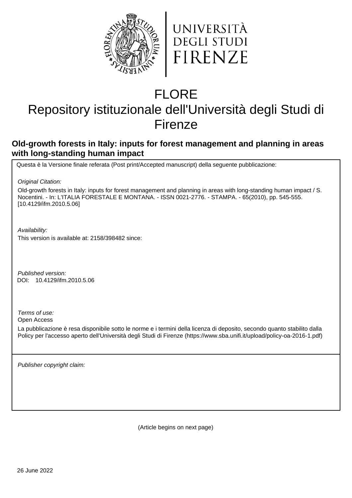



# FLORE

## Repository istituzionale dell'Università degli Studi di Firenze

## **Old-growth forests in Italy: inputs for forest management and planning in areas with long-standing human impact**

Questa è la Versione finale referata (Post print/Accepted manuscript) della seguente pubblicazione:

Original Citation:

Old-growth forests in Italy: inputs for forest management and planning in areas with long-standing human impact / S. Nocentini. - In: L'ITALIA FORESTALE E MONTANA. - ISSN 0021-2776. - STAMPA. - 65(2010), pp. 545-555. [10.4129/ifm.2010.5.06]

Availability:

This version is available at: 2158/398482 since:

Published version: 10.4129/ifm.2010.5.06 DOI:

Terms of use:

Open Access

La pubblicazione è resa disponibile sotto le norme e i termini della licenza di deposito, secondo quanto stabilito dalla Policy per l'accesso aperto dell'Università degli Studi di Firenze (https://www.sba.unifi.it/upload/policy-oa-2016-1.pdf)

Publisher copyright claim:

(Article begins on next page)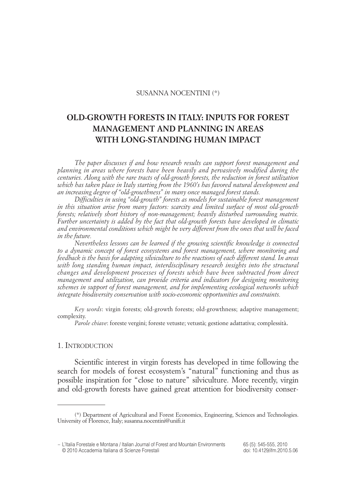#### SUSANNA NOCENTINI (\*)

### **OLD-GROWTH FORESTS IN ITALY: INPUTS FOR FOREST MANAGEMENT AND PLANNING IN AREAS WITH LONG-STANDING HUMAN IMPACT**

*The paper discusses if and how research results can support forest management and planning in areas where forests have been heavily and pervasively modified during the centuries. Along with the rare tracts of old-growth forests, the reduction in forest utilization which has taken place in Italy starting from the 1960's has favored natural development and an increasing degree of "old-growthness" in many once managed forest stands.*

*Difficulties in using "old-growth" forests as models for sustainable forest management in this situation arise from many factors: scarcity and limited surface of most old-growth forests; relatively short history of non-management; heavily disturbed surrounding matrix. Further uncertainty is added by the fact that old-growth forests have developed in climatic and environmental conditions which might be very different from the ones that will be faced in the future.*

*Nevertheless lessons can be learned if the growing scientific knowledge is connected to a dynamic concept of forest ecosystems and forest management, where monitoring and feedback is the basis for adapting silviculture to the reactions of each different stand. In areas with long standing human impact, interdisciplinary research insights into the structural changes and development processes of forests which have been subtracted from direct management and utilization, can provide criteria and indicators for designing monitoring schemes in support of forest management, and for implementing ecological networks which integrate biodiversity conservation with socio-economic opportunities and constraints.*

*Key words*: virgin forests; old-growth forests; old-growthness; adaptive management; complexity.

*Parole chiave*: foreste vergini; foreste vetuste; vetustà; gestione adattativa; complessità.

#### 1. INTRODUCTION

Scientific interest in virgin forests has developed in time following the search for models of forest ecosystem's "natural" functioning and thus as possible inspiration for "close to nature" silviculture. More recently, virgin and old-growth forests have gained great attention for biodiversity conser -

<sup>(\*)</sup> Department of Agricultural and Forest Economics, Engineering, Sciences and Technologies. University of Florence, Italy; susanna.nocentini@unifi.it

<sup>–</sup> L'Italia Forestale e Montana / Italian Journal of Forest and Mountain Environments 65 (5): 545-555, 2010 © 2010 Accademia Italiana di Scienze Forestali doi: 10.4129/ifm.2010.5.06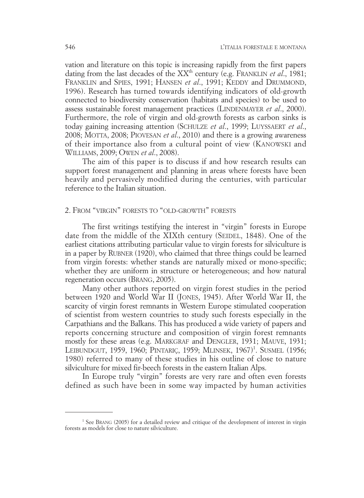vation and literature on this topic is increasing rapidly from the first papers dating from the last decades of the XX<sup>th</sup> century (e.g. FRANKLIN *et al.*, 1981; FRANKLIN and SPIES, 1991; HANSEN *et al*., 1991; KEDDY and DRUMMOND, 1996). Research has turned towards identifying indicators of old-growth connected to biodiversity conservation (habitats and species) to be used to assess sustainable forest management practices (LINDENMAYER *et al*., 2000). Furthermore, the role of virgin and old-growth forests as carbon sinks is today gaining increasing attention (SCHULZE *et al*., 1999; LUYSSAERT *et al*., 2008; MOTTA, 2008; PIOVESAN *et al*., 2010) and there is a growing awareness of their importance also from a cultural point of view (KANOWSKI and WILLIAMS, 2009; OWEN *et al*., 2008).

The aim of this paper is to discuss if and how research results can support forest management and planning in areas where forests have been heavily and pervasively modified during the centuries, with particular reference to the Italian situation.

#### 2. FROM "VIRGIN" FORESTS TO "OLD-GROWTH" FORESTS

The first writings testifying the interest in "virgin" forests in Europe date from the middle of the XIXth century (SEIDEL, 1848). One of the earliest citations attributing particular value to virgin forests for silviculture is in a paper by RUBNER (1920), who claimed that three things could be learned from virgin forests: whether stands are naturally mixed or mono-specific; whether they are uniform in structure or heterogeneous; and how natural regeneration occurs (BRANG, 2005).

Many other authors reported on virgin forest studies in the period between 1920 and World War II (JONES, 1945). After World War II, the scarcity of virgin forest remnants in Western Europe stimulated cooperation of scientist from western countries to study such forests especially in the Carpathians and the Balkans. This has produced a wide variety of papers and reports concerning structure and composition of virgin forest remnants mostly for these areas (e.g. MARKGRAF and DENGLER, 1931; MAUVE, 1931; LEIBUNDGUT, 1959, 1960; PINTARIÇ, 1959; MLINSEK, 1967)<sup>1</sup>. SUSMEL (1956; 1980) referred to many of these studies in his outline of close to nature silviculture for mixed fir-beech forests in the eastern Italian Alps.

In Europe truly "virgin" forests are very rare and often even forests defined as such have been in some way impacted by human activities

<sup>&</sup>lt;sup>1</sup> See BRANG (2005) for a detailed review and critique of the development of interest in virgin forests as models for close to nature silviculture.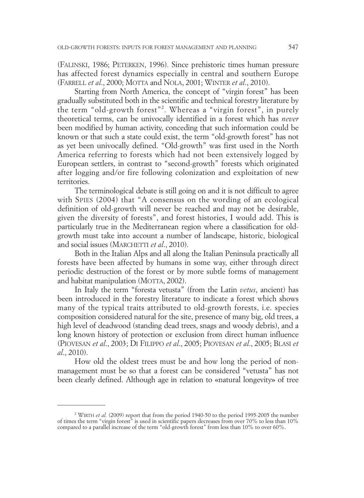(FALINSKI, 1986; PETERKEN, 1996). Since prehistoric times human pressure has affected forest dynamics especially in central and southern Europe (FARRELL *et al*., 2000; MOTTA and NOLA, 2001; WINTER *et al*., 2010).

Starting from North America, the concept of "virgin forest" has been gradually substituted both in the scientific and technical forestry literature by the term "old-growth forest"2 . Whereas a "virgin forest", in purely theoretical terms, can be univocally identified in a forest which has *never* been modified by human activity, conceding that such information could be known or that such a state could exist, the term "old-growth forest" has not as yet been univocally defined. "Old-growth" was first used in the North America referring to forests which had not been extensively logged by European settlers, in contrast to "second-growth" forests which originated after logging and/or fire following colonization and exploitation of new territories.

The terminological debate is still going on and it is not difficult to agree with SPIES (2004) that "A consensus on the wording of an ecological definition of old-growth will never be reached and may not be desirable, given the diversity of forests", and forest histories, I would add. This is particularly true in the Mediterranean region where a classification for oldgrowth must take into account a number of landscape, historic, biological and social issues (MARCHETTI *et al*., 2010).

Both in the Italian Alps and all along the Italian Peninsula practically all forests have been affected by humans in some way, either through direct periodic destruction of the forest or by more subtle forms of management and habitat manipulation (MOTTA, 2002).

In Italy the term "foresta vetusta" (from the Latin *vetus*, ancient) has been introduced in the forestry literature to indicate a forest which shows many of the typical traits attributed to old-growth forests, i.e. species composition considered natural for the site, presence of many big, old trees, a high level of deadwood (standing dead trees, snags and woody debris), and a long known history of protection or exclusion from direct human influence (PIOVESAN *et al*., 2003; DI FILIPPO *et al*., 2005; PIOVESAN *et al*., 2005; BLASI *et al*., 2010).

How old the oldest trees must be and how long the period of nonmanagement must be so that a forest can be considered "vetusta" has not been clearly defined. Although age in relation to «natural longevity» of tree

<sup>2</sup> WIRTH *et al.* (2009) report that from the period 1940-50 to the period 1995-2005 the number of times the term "virgin forest" is used in scientific papers decreases from over 70% to less than 10% compared to a parallel increase of the term "old-growth forest" from less than 10% to over 60%.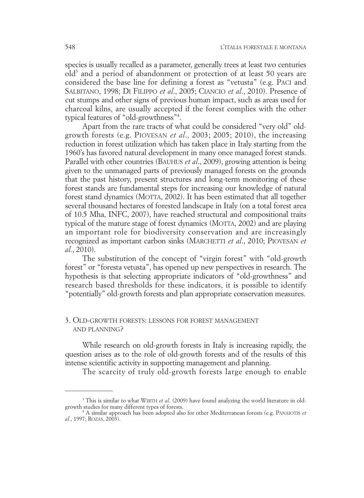species is usually recalled as a parameter, generally trees at least two centuries old<sup>3</sup> and a period of abandonment or protection of at least 50 years are considered the base line for defining a forest as "vetusta" (e.g. PACI and SALBITANO, 1998; DI FILIPPO *et al*., 2005; CIANCIO *et al*., 2010). Presence of cut stumps and other signs of previous human impact, such as areas used for charcoal kilns, are usually accepted if the forest complies with the other typical features of "old-growthness"4 .

Apart from the rare tracts of what could be considered "very old" oldgrowth forests (e.g. PIOVESAN *et al*., 2003; 2005; 2010), the increasing reduction in forest utilization which has taken place in Italy starting from the 1960's has favored natural development in many once managed forest stands. Parallel with other countries (BAUHUS *et al*., 2009), growing attention is being given to the unmanaged parts of previously managed forests on the grounds that the past history, present structures and long-term monitoring of these forest stands are fundamental steps for increasing our knowledge of natural forest stand dynamics (MOTTA, 2002). It has been estimated that all together several thousand hectares of forested landscape in Italy (on a total forest area of 10.5 Mha, INFC, 2007), have reached structural and compositional traits typical of the mature stage of forest dynamics (MOTTA, 2002) and are playing an important role for biodiversity conservation and are increasingly recognized as important carbon sinks (MARCHETTI *et al*., 2010; PIOVESAN *et al*., 2010).

The substitution of the concept of "virgin forest" with "old-growth forest" or "foresta vetusta", has opened up new perspectives in research. The hypothesis is that selecting appropriate indicators of "old-growthness" and research based thresholds for these indicators, it is possible to identify "potentially" old-growth forests and plan appropriate conservation measures.

#### 3. OLD-GROWTH FORESTS: LESSONS FOR FOREST MANAGEMENT AND PLANNING?

While research on old-growth forests in Italy is increasing rapidly, the question arises as to the role of old-growth forests and of the results of this intense scientific activity in supporting management and planning.

The scarcity of truly old-growth forests large enough to enable

<sup>&</sup>lt;sup>3</sup> This is similar to what WIRTH *et al.* (2009) have found analyzing the world literature in old-growth studies for many different types of forests.

growth studies for many different types of forests. <sup>4</sup> A similar approach has been adopted also for other Mediterranean forests (e.g. PANAIOTIS *et al.*, 1997; ROZAS, 2003).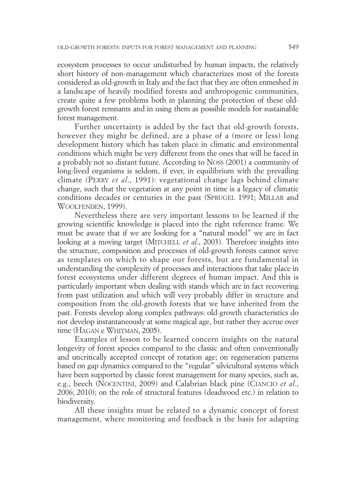ecosystem processes to occur undisturbed by human impacts, the relatively short history of non-management which characterizes most of the forests considered as old-growth in Italy and the fact that they are often enmeshed in a landscape of heavily modified forests and anthropogenic communities, create quite a few problems both in planning the protection of these oldgrowth forest remnants and in using them as possible models for sustainable forest management.

Further uncertainty is added by the fact that old-growth forests, however they might be defined, are a phase of a (more or less) long development history which has taken place in climatic and environmental conditions which might be very different from the ones that will be faced in a probably not so distant future. According to NOSS (2001) a community of long-lived organisms is seldom, if ever, in equilibrium with the prevailing climate (PERRY *et al*., 1991): vegetational change lags behind climate change, such that the vegetation at any point in time is a legacy of climatic conditions decades or centuries in the past (SPRUGEL 1991; MILLAR and WOOLFENDEN, 1999).

Nevertheless there are very important lessons to be learned if the growing scientific knowledge is placed into the right reference frame. We must be aware that if we are looking for a "natural model" we are in fact looking at a moving target (MITCHELL *et al*., 2003). Therefore insights into the structure, composition and processes of old-growth forests cannot serve as templates on which to shape our forests, but are fundamental in understanding the complexity of processes and interactions that take place in forest ecosystems under different degrees of human impact. And this is particularly important when dealing with stands which are in fact recovering from past utilization and which will very probably differ in structure and composition from the old-growth forests that we have inherited from the past. Forests develop along complex pathways: old-growth characteristics do not develop instantaneously at some magical age, but rather they accrue over time (HAGAN e WHITMAN, 2005).

Examples of lesson to be learned concern insights on the natural longevity of forest species compared to the classic and often conventionally and uncritically accepted concept of rotation age; on regeneration patterns based on gap dynamics compared to the "regular" silvicultural systems which have been supported by classic forest management for many species, such as, e.g., beech (NOCENTINI, 2009) and Calabrian black pine (CIANCIO *et al*., 2006; 2010); on the role of structural features (deadwood etc.) in relation to biodiversity.

All these insights must be related to a dynamic concept of forest management, where monitoring and feedback is the basis for adapting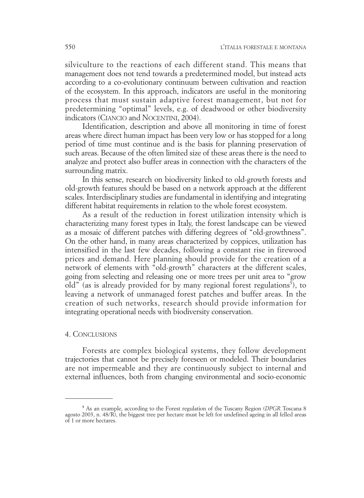silviculture to the reactions of each different stand. This means that management does not tend towards a predetermined model, but instead acts according to a co-evolutionary continuum between cultivation and reaction of the ecosystem. In this approach, indicators are useful in the monitoring process that must sustain adaptive forest management, but not for predetermining "optimal" levels, e.g. of deadwood or other biodiversity indicators (CIANCIO and NOCENTINI, 2004).

Identification, description and above all monitoring in time of forest areas where direct human impact has been very low or has stopped for a long period of time must continue and is the basis for planning preservation of such areas. Because of the often limited size of these areas there is the need to analyze and protect also buffer areas in connection with the characters of the surrounding matrix.

In this sense, research on biodiversity linked to old-growth forests and old-growth features should be based on a network approach at the different scales. Interdisciplinary studies are fundamental in identifying and integrating different habitat requirements in relation to the whole forest ecosystem.

As a result of the reduction in forest utilization intensity which is characterizing many forest types in Italy, the forest landscape can be viewed as a mosaic of different patches with differing degrees of "old-growthness". On the other hand, in many areas characterized by coppices, utilization has intensified in the last few decades, following a constant rise in firewood prices and demand. Here planning should provide for the creation of a network of elements with "old-growth" characters at the different scales, going from selecting and releasing one or more trees per unit area to "grow old" (as is already provided for by many regional forest regulations<sup>5</sup>), to leaving a network of unmanaged forest patches and buffer areas. In the creation of such networks, research should provide information for integrating operational needs with biodiversity conservation.

#### 4. CONCLUSIONS

Forests are complex biological systems, they follow development trajectories that cannot be precisely foreseen or modeled. Their boundaries are not impermeable and they are continuously subject to internal and external influences, both from changing environmental and socio-economic

**<sup>5</sup>** As an example, according to the Forest regulation of the Tuscany Region (*DPGR* Toscana 8 agosto 2003, n. 48/R), the biggest tree per hectare must be left for undefined ageing in all felled areas of 1 or more hectares.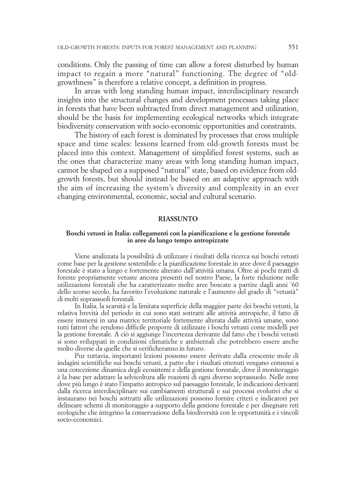conditions. Only the passing of time can allow a forest disturbed by human impact to regain a more "natural" functioning. The degree of "oldgrowthness" is therefore a relative concept, a definition in progress.

In areas with long standing human impact, interdisciplinary research insights into the structural changes and development processes taking place in forests that have been subtracted from direct management and utilization, should be the basis for implementing ecological networks which integrate biodiversity conservation with socio-economic opportunities and constraints.

The history of each forest is dominated by processes that cross multiple space and time scales: lessons learned from old-growth forests must be placed into this context. Management of simplified forest systems, such as the ones that characterize many areas with long standing human impact, cannot be shaped on a supposed "natural" state, based on evidence from oldgrowth forests, but should instead be based on an adaptive approach with the aim of increasing the system's diversity and complexity in an ever changing environmental, economic, social and cultural scenario.

#### **RIASSUNTO**

#### **Boschi vetusti in Italia: collegamenti con la pianificazione e la gestione forestale in aree da lungo tempo antropizzate**

Viene analizzata la possibilità di utilizzare i risultati della ricerca sui boschi vetusti come base per la gestione sostenibile e la pianificazione forestale in aree dove il paesaggio forestale è stato a lungo e fortemente alterato dall'attività umana. Oltre ai pochi tratti di foreste propriamente vetuste ancora presenti nel nostro Paese, la forte riduzione nelle utilizzazioni forestali che ha caratterizzato molte aree boscate a partire dagli anni '60 dello scorso secolo, ha favorito l'evoluzione naturale e l'aumento del grado di "vetustà" di molti soprassuoli forestali.

In Italia, la scarsità e la limitata superficie della maggior parte dei boschi vetusti, la relativa brevità del periodo in cui sono stati sottratti alle attività antropiche, il fatto di essere immersi in una matrice territoriale fortemente alterata dalle attività umane, sono tutti fattori che rendono difficile proporre di utilizzare i boschi vetusti come modelli per la gestione forestale. A ciò si aggiunge l'incertezza derivante dal fatto che i boschi vetusti si sono sviluppati in condizioni climatiche e ambientali che potrebbero essere anche molto diverse da quelle che si verificheranno in futuro.

Pur tuttavia, importanti lezioni possono essere derivate dalla crescente mole di indagini scientifiche sui boschi vetusti, a patto che i risultati ottenuti vengano connessi a una concezione dinamica degli ecosistemi e della gestione forestale, dove il monitoraggio è la base per adattare la selvicoltura alle reazioni di ogni diverso soprassuolo. Nelle zone dove più lungo è stato l'impatto antropico sul paesaggio forestale, le indicazioni derivanti dalla ricerca interdisciplinare sui cambiamenti strutturali e sui processi evolutivi che si instaurano nei boschi sottratti alle utilizzazioni possono fornire criteri e indicatori per delineare schemi di monitoraggio a supporto della gestione forestale e per disegnare reti ecologiche che integrino la conservazione della biodiversità con le opportunità e i vincoli socio-economici.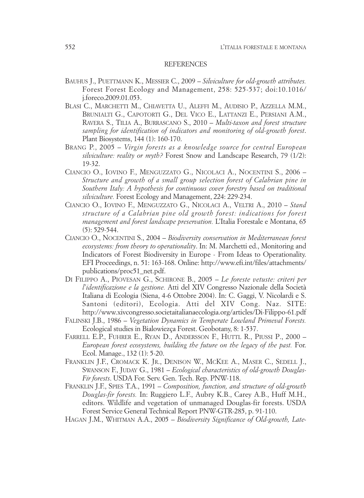#### REFERENCES

- BAUHUS J., PUETTMANN K., MESSIER C., 2009 *Silviculture for old-growth attributes.* Forest Forest Ecology and Management, 258: 525-537; doi:10.1016/ j.foreco.2009.01.053.
- BLASI C., MARCHETTI M., CHIAVETTA U., ALEFFI M., AUDISIO P., AZZELLA M.M., BRUNIALTI G., CAPOTORTI G., DEL VICO E., LATTANZI E., PERSIANI A.M., RAVERA S., TILIA A., BURRASCANO S., 2010 – *Multi-taxon and forest structure sampling for identification of indicators and monitoring of old-growth forest*. Plant Biosystems, 144 (1): 160-170.
- BRANG P., 2005 *Virgin forests as a knowledge source for central European silviculture: reality or myth?* Forest Snow and Landscape Research, 79 (1/2): 19-32.
- CIANCIO O., IOVINO F., MENGUZZATO G., NICOLACI A., NOCENTINI S., 2006 *Structure and growth of a small group selection forest of Calabrian pine in Southern Italy: A hypothesis for continuous cover forestry based on traditional silviculture.* Forest Ecology and Management, 224: 229-234.
- CIANCIO O., IOVINO F., MENGUZZATO G., NICOLACI A., VELTRI A., 2010 *Stand structure of a Calabrian pine old growth forest: indications for forest management and forest landscape preservation.* L'Italia Forestale e Montana, 65 (5): 529-544.
- CIANCIO O., NOCENTINI S., 2004 *Biodiversity conservation in Mediterranean forest ecosystems: from theory to operationality*. In: M. Marchetti ed., Monitoring and Indicators of Forest Biodiversity in Europe - From Ideas to Operationality. EFI Proceedings, n. 51: 163-168. Online: http://www.efi.int/files/attachments/ publications/proc51\_net.pdf.
- DI FILIPPO A., PIOVESAN G., SCHIRONE B., 2005 *Le foreste vetuste: criteri per l'identificazione e la gestione.* Atti del XIV Congresso Nazionale della Società Italiana di Ecologia (Siena, 4-6 Ottobre 2004). In: C. Gaggi, V. Nicolardi e S. Santoni (editori), Ecologia. Atti del XIV Cong. Naz. SITE: http://www.xivcongresso.societaitalianaecologia.org/articles/Di-Filippo-61.pdf
- FALINSKI J.B., 1986 *Vegetation Dynamics in Temperate Lowland Primeval Forests.* Ecological studies in Bialowiezça Forest. Geobotany, 8: 1-537.
- FARRELL E.P., FUHRER E., RYAN D., ANDERSSON F., HUTTL R., PIUSSI P., 2000 *European forest ecosystems, building the future on the legacy of the past.* For. Ecol. Manage., 132 (1): 5-20.
- FRANKLIN J.F., CROMACK K. JR., DENISON W., MCKEE A., MASER C., SEDELL J., SWANSON F., JUDAY G., 1981 – *Ecological characteristics of old-growth Douglas-Fir forests*. USDA For. Serv. Gen. Tech. Rep. PNW-118.
- FRANKLIN J.F., SPIES T.A., 1991 *Composition, function, and structure of old-growth Douglas-fir forests.* In: Ruggiero L.F., Aubry K.B., Carey A.B., Huff M.H., editors. Wildlife and vegetation of unmanaged Douglas-fir forests. USDA Forest Service General Technical Report PNW-GTR-285, p. 91-110.
- HAGAN J.M., WHITMAN A.A., 2005 *Biodiversity Significance of Old-growth, Late-*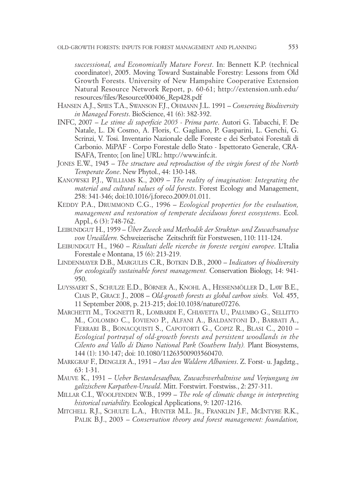*successional, and Economically Mature Forest*. In: Bennett K.P. (technical coordinator), 2005. Moving Toward Sustainable Forestry: Lessons from Old Growth Forests. University of New Hampshire Cooperative Extension Natural Resource Network Report, p. 60-61; http://extension.unh.edu/ resources/files/Resource000406\_Rep428.pdf

- HANSEN A.J., SPIES T.A., SWANSON F.J., OHMANN J.L. 1991 *Conserving Biodiversity in Managed Forests*. BioScience, 41 (6): 382-392.
- INFC, 2007 *Le stime di superficie 2005 Prima parte*. Autori G. Tabacchi, F. De Natale, L. Di Cosmo, A. Floris, C. Gagliano, P. Gasparini, L. Genchi, G. Scrinzi, V. Tosi. Inventario Nazionale delle Foreste e dei Serbatoi Forestali di Carbonio. MiPAF - Corpo Forestale dello Stato - Ispettorato Generale, CRA-ISAFA, Trento; [on line] URL: http://www.infc.it.
- JONES E.W., 1945 *The structure and reproduction of the virgin forest of the North Temperate Zone*. New Phytol., 44: 130-148.
- KANOWSKI P.J., WILLIAMS K., 2009 *The reality of imagination: Integrating the material and cultural values of old forests*. Forest Ecology and Management, 258: 341-346; doi:10.1016/j.foreco.2009.01.011.
- KEDDY P.A., DRUMMOND C.G., 1996 *Ecological properties for the evaluation, management and restoration of temperate deciduous forest ecosystems*. Ecol. Appl., 6 (3): 748-762.
- LEIBUNDGUT H., 1959 *Über Zweck und Methodik der Struktur- und Zuwachsanalyse von Urwäldern.* Schweizerische Zeitschrift für Forstwesen, 110: 111-124.
- LEIBUNDGUT H., 1960 *Risultati delle ricerche in foreste vergini europee*. L'Italia Forestale e Montana, 15 (6): 213-219.
- LINDENMAYER D.B., MARGULES C.R., BOTKIN D.B., 2000 *Indicators of biodiversity for ecologically sustainable forest management.* Conservation Biology, 14: 941- 950.
- LUYSSAERT S., SCHULZE E.D., BÖRNER A., KNOHL A., HESSENMÖLLER D., LAW B.E., CIAIS P., GRACE J., 2008 – *Old-growth forests as global carbon sinks.* Vol. 455, 11 September 2008, p. 213-215; doi:10.1038/nature07276.
- MARCHETTI M., TOGNETTI R., LOMBARDI F., CHIAVETTA U., PALUMBO G., SELLITTO M., COLOMBO C., IOVIENO P., ALFANI A., BALDANTONI D., BARBATI A., FERRARI B., BONACQUISTI S., CAPOTORTI G., COPIZ R., BLASI C., 2010 – *Ecological portrayal of old-growth forests and persistent woodlands in the Cilento and Vallo di Diano National Park (Southern Italy).* Plant Biosystems, 144 (1): 130-147; doi: 10.1080/11263500903560470.
- MARKGRAF F., DENGLER A., 1931 *Aus den Waldern Albaniens*. Z. Forst- u. Jagdztg., 63: 1-31.
- MAUVE K., 1931 *Ueber Bestandesaufbau, Zuwachsverhaltnisse und Verjungung im galizischem Karpathen-Urwald*. Mitt. Forstwirt. Forstwiss., 2: 257-311.
- MILLAR C.I., WOOLFENDEN W.B., 1999 *The role of climatic change in interpreting historical variability.* Ecological Applications, 9: 1207-1216.
- MITCHELL R.J., SCHULTE L.A., HUNTER M.L. JR., FRANKLIN J.F., MCINTYRE R.K., PALIK B.J., 2003 – *Conservation theory and forest management: foundation,*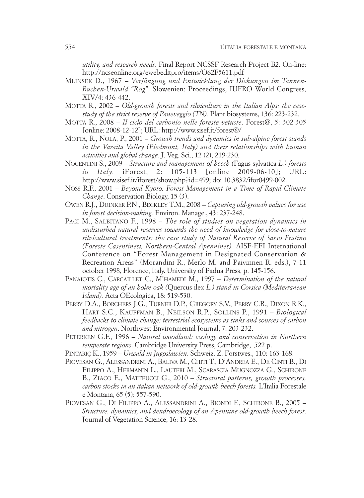*utility, and research needs*. Final Report NCSSF Research Project B2. On-line: http://ncseonline.org/ewebeditpro/items/O62F5611.pdf

- MLINSEK D., 1967 *Verjüngung und Entwicklung der Dickungen im Tannen-Buchen-Urwald "Rog"*. Slowenien: Proceedings, IUFRO World Congress, XIV/4: 436-442.
- MOTTA R., 2002 *Old-growth forests and silviculture in the Italian Alps: the casestudy of the strict reserve of Paneveggio (TN).* Plant biosystems, 136: 223-232.
- MOTTA R., 2008  *Il ciclo del carbonio nelle foreste vetuste*. Forest@, 5: 302-305 [online: 2008-12-12]; URL: http://www.sisef.it/forest@/
- MOTTA, R., NOLA, P., 2001 *Growth trends and dynamics in sub-alpine forest stands in the Varaita Valley (Piedmont, Italy) and their relationships with human activities and global change.* J. Veg. Sci., 12 (2), 219-230.
- NOCENTINI S., 2009 *Structure and management of beech (*Fagus sylvatica *L.) forests in Italy.* iForest, 2: 105-113 [online 2009-06-10]; URL: http://www.sisef.it/iforest/show.php?id=499; doi 10.3832/ifor0499-002.
- NOSS R.F., 2001 *Beyond Kyoto: Forest Management in a Time of Rapid Climate Change*. Conservation Biology, 15 (3).
- OWEN R.J., DUINKER P.N., BECKLEY T.M., 2008 *Capturing old-growth values for use in forest decision-making.* Environ. Manage., 43: 237-248.
- PACI M., SALBITANO F., 1998 *The role of studies on vegetation dynamics in undisturbed natural reserves towards the need of knowledge for close-to-nature silvicultural treatments: the case study of Natural Reserve of Sasso Fratino (Foreste Casentinesi, Northern-Central Apennines).* AISF-EFI International Conference on "Forest Management in Designated Conservation & Recreation Areas" (Morandini R., Merlo M. and Paivinnen R. eds.), 7-11 october 1998, Florence, Italy. University of Padua Press, p. 145-156.
- PANAÏOTIS C., CARCAILLET C., M'HAMEDI M., 1997 *Determination of the natural mortality age of an holm oak (*Quercus ilex *L.) stand in Corsica (Mediterranean Island).* Acta OEcologica, 18: 519-530.
- PERRY D.A., BORCHERS J.G., TURNER D.P., GREGORY S.V., PERRY C.R., DIXON R.K., HART S.C., KAUFFMAN B., NEILSON R.P., SOLLINS P., 1991 – *Biological feedbacks to climate change: terrestrial ecosystems as sinks and sources of carbon and nitrogen*. Northwest Environmental Journal, 7: 203-232.
- PETERKEN G.F., 1996 *Natural woodland: ecology and conservation in Northern temperate regions*. Cambridge University Press, Cambridge, 522 p.
- PINTARIÇ K., 1959 *Urwald in Jugoslawien*. Schweiz. Z. Forstwes., 110: 163-168.
- PIOVESAN G., ALESSANDRINI A., BALIVA M., CHITI T., D'ANDREA E., DE CINTI B., DI FILIPPO A., HERMANIN L., LAUTERI M., SCARASCIA MUGNOZZA G., SCHIRONE B., ZIACO E., MATTEUCCI G., 2010 – *Structural patterns, growth processes, carbon stocks in an italian network of old-growth beech forests.* L'Italia Forestale e Montana, 65 (5): 557-590.
- PIOVESAN G., DI FILIPPO A., ALESSANDRINI A., BIONDI F., SCHIRONE B., 2005 *Structure, dynamics, and dendroecology of an Apennine old-growth beech forest*. Journal of Vegetation Science, 16: 13-28.